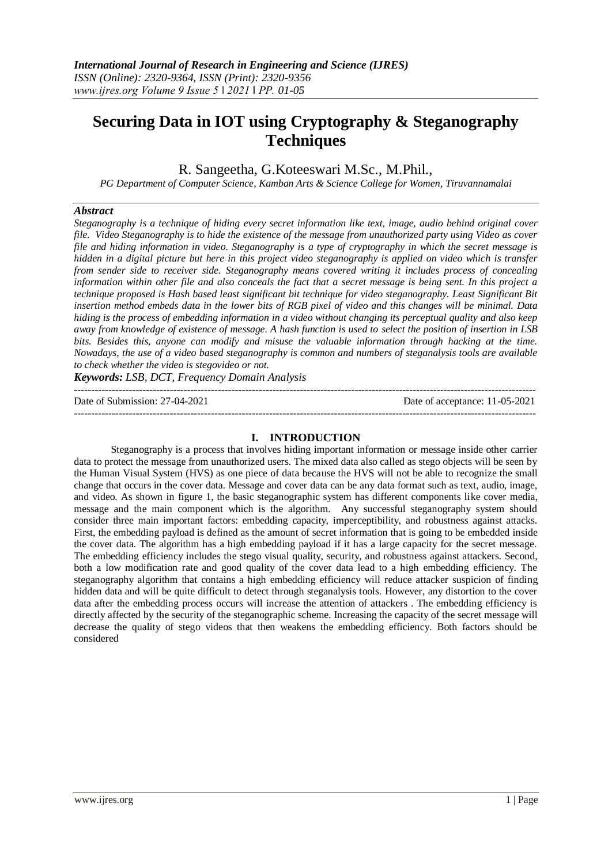# **Securing Data in IOT using Cryptography & Steganography Techniques**

R. Sangeetha, G.Koteeswari M.Sc., M.Phil.,

*PG Department of Computer Science, Kamban Arts & Science College for Women, Tiruvannamalai*

#### *Abstract*

*Steganography is a technique of hiding every secret information like text, image, audio behind original cover file. Video Steganography is to hide the existence of the message from unauthorized party using Video as cover file and hiding information in video. Steganography is a type of cryptography in which the secret message is hidden in a digital picture but here in this project video steganography is applied on video which is transfer from sender side to receiver side. Steganography means covered writing it includes process of concealing information within other file and also conceals the fact that a secret message is being sent. In this project a technique proposed is Hash based least significant bit technique for video steganography. Least Significant Bit insertion method embeds data in the lower bits of RGB pixel of video and this changes will be minimal. Data hiding is the process of embedding information in a video without changing its perceptual quality and also keep away from knowledge of existence of message. A hash function is used to select the position of insertion in LSB bits. Besides this, anyone can modify and misuse the valuable information through hacking at the time. Nowadays, the use of a video based steganography is common and numbers of steganalysis tools are available to check whether the video is stegovideo or not.* 

*Keywords: LSB, DCT, Frequency Domain Analysis* 

---------------------------------------------------------------------------------------------------------------------------------------

Date of Submission: 27-04-2021 Date of acceptance: 11-05-2021

### **I. INTRODUCTION**

---------------------------------------------------------------------------------------------------------------------------------------

Steganography is a process that involves hiding important information or message inside other carrier data to protect the message from unauthorized users. The mixed data also called as stego objects will be seen by the Human Visual System (HVS) as one piece of data because the HVS will not be able to recognize the small change that occurs in the cover data. Message and cover data can be any data format such as text, audio, image, and video. As shown in figure 1, the basic steganographic system has different components like cover media, message and the main component which is the algorithm. Any successful steganography system should consider three main important factors: embedding capacity, imperceptibility, and robustness against attacks. First, the embedding payload is defined as the amount of secret information that is going to be embedded inside the cover data. The algorithm has a high embedding payload if it has a large capacity for the secret message. The embedding efficiency includes the stego visual quality, security, and robustness against attackers. Second, both a low modification rate and good quality of the cover data lead to a high embedding efficiency. The steganography algorithm that contains a high embedding efficiency will reduce attacker suspicion of finding hidden data and will be quite difficult to detect through steganalysis tools. However, any distortion to the cover data after the embedding process occurs will increase the attention of attackers . The embedding efficiency is directly affected by the security of the steganographic scheme. Increasing the capacity of the secret message will decrease the quality of stego videos that then weakens the embedding efficiency. Both factors should be considered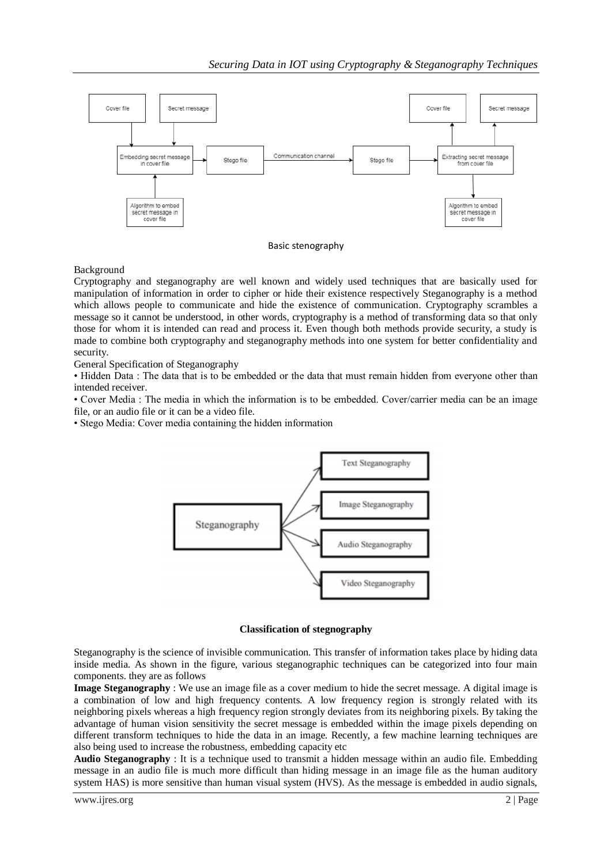

# Basic stenography

# Background

Cryptography and steganography are well known and widely used techniques that are basically used for manipulation of information in order to cipher or hide their existence respectively Steganography is a method which allows people to communicate and hide the existence of communication. Cryptography scrambles a message so it cannot be understood, in other words, cryptography is a method of transforming data so that only those for whom it is intended can read and process it. Even though both methods provide security, a study is made to combine both cryptography and steganography methods into one system for better confidentiality and security.

General Specification of Steganography

• Hidden Data : The data that is to be embedded or the data that must remain hidden from everyone other than intended receiver.

• Cover Media : The media in which the information is to be embedded. Cover/carrier media can be an image file, or an audio file or it can be a video file.

• Stego Media: Cover media containing the hidden information



#### **Classification of stegnography**

Steganography is the science of invisible communication. This transfer of information takes place by hiding data inside media. As shown in the figure, various steganographic techniques can be categorized into four main components. they are as follows

**Image Steganography** : We use an image file as a cover medium to hide the secret message. A digital image is a combination of low and high frequency contents. A low frequency region is strongly related with its neighboring pixels whereas a high frequency region strongly deviates from its neighboring pixels. By taking the advantage of human vision sensitivity the secret message is embedded within the image pixels depending on different transform techniques to hide the data in an image. Recently, a few machine learning techniques are also being used to increase the robustness, embedding capacity etc

**Audio Steganography** : It is a technique used to transmit a hidden message within an audio file. Embedding message in an audio file is much more difficult than hiding message in an image file as the human auditory system HAS) is more sensitive than human visual system (HVS). As the message is embedded in audio signals,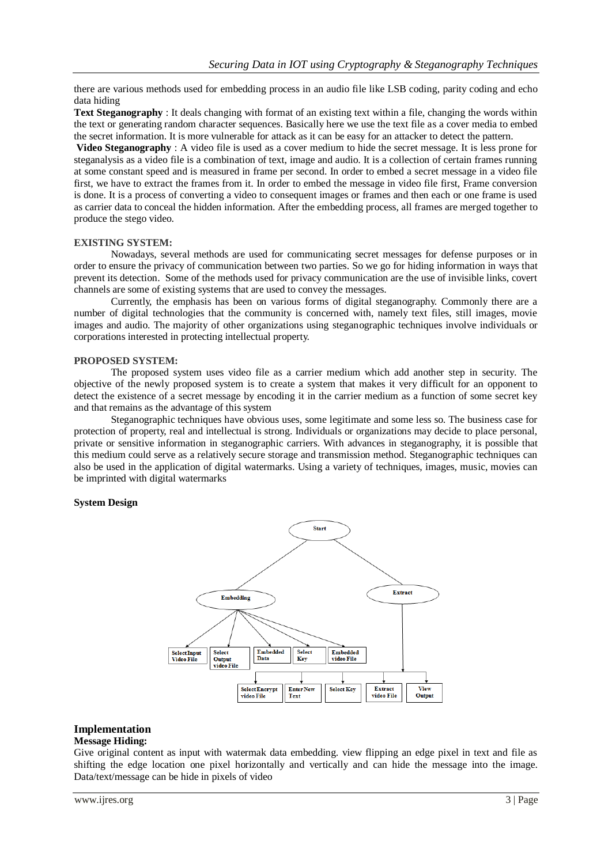there are various methods used for embedding process in an audio file like LSB coding, parity coding and echo data hiding

**Text Steganography** : It deals changing with format of an existing text within a file, changing the words within the text or generating random character sequences. Basically here we use the text file as a cover media to embed the secret information. It is more vulnerable for attack as it can be easy for an attacker to detect the pattern.

**Video Steganography** : A video file is used as a cover medium to hide the secret message. It is less prone for steganalysis as a video file is a combination of text, image and audio. It is a collection of certain frames running at some constant speed and is measured in frame per second. In order to embed a secret message in a video file first, we have to extract the frames from it. In order to embed the message in video file first, Frame conversion is done. It is a process of converting a video to consequent images or frames and then each or one frame is used as carrier data to conceal the hidden information. After the embedding process, all frames are merged together to produce the stego video.

# **EXISTING SYSTEM:**

Nowadays, several methods are used for communicating secret messages for defense purposes or in order to ensure the privacy of communication between two parties. So we go for hiding information in ways that prevent its detection. Some of the methods used for privacy communication are the use of invisible links, covert channels are some of existing systems that are used to convey the messages.

Currently, the emphasis has been on various forms of digital steganography. Commonly there are a number of digital technologies that the community is concerned with, namely text files, still images, movie images and audio. The majority of other organizations using steganographic techniques involve individuals or corporations interested in protecting intellectual property.

#### **PROPOSED SYSTEM:**

The proposed system uses video file as a carrier medium which add another step in security. The objective of the newly proposed system is to create a system that makes it very difficult for an opponent to detect the existence of a secret message by encoding it in the carrier medium as a function of some secret key and that remains as the advantage of this system

Steganographic techniques have obvious uses, some legitimate and some less so. The business case for protection of property, real and intellectual is strong. Individuals or organizations may decide to place personal, private or sensitive information in steganographic carriers. With advances in steganography, it is possible that this medium could serve as a relatively secure storage and transmission method. Steganographic techniques can also be used in the application of digital watermarks. Using a variety of techniques, images, music, movies can be imprinted with digital watermarks

#### **System Design**



# **Implementation**

#### **Message Hiding:**

Give original content as input with watermak data embedding. view flipping an edge pixel in text and file as shifting the edge location one pixel horizontally and vertically and can hide the message into the image. Data/text/message can be hide in pixels of video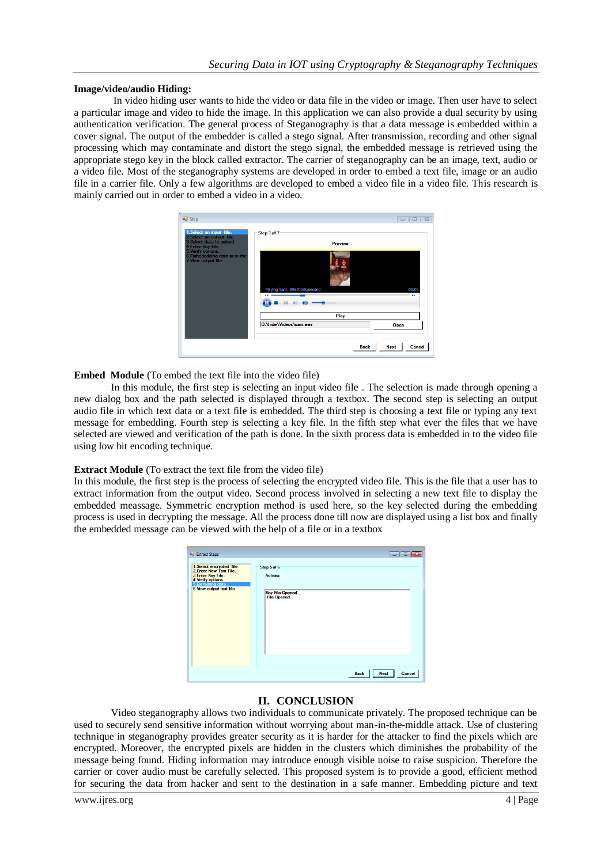#### **Image/video/audio Hiding:**

In video hiding user wants to hide the video or data file in the video or image. Then user have to select a particular image and video to hide the image. In this application we can also provide a dual security by using authentication verification. The general process of Steganography is that a data message is embedded within a cover signal. The output of the embedder is called a stego signal. After transmission, recording and other signal processing which may contaminate and distort the stego signal, the embedded message is retrieved using the appropriate stego key in the block called extractor. The carrier of steganography can be an image, text, audio or a video file. Most of the steganography systems are developed in order to embed a text file, image or an audio file in a carrier file. Only a few algorithms are developed to embed a video file in a video file. This research is mainly carried out in order to embed a video in a video.

| o <sup>1</sup> Step<br>1. Select an input file.                                                                                                            | Step 1 of 7                        | $\Sigma\!3$<br>16 O<br>$\qquad \qquad \Box$ |
|------------------------------------------------------------------------------------------------------------------------------------------------------------|------------------------------------|---------------------------------------------|
| 2. Select an output file.<br>3. Select data to embed.<br>4. Enter Key File.<br>5. Verify options.<br>6. Embededding data in to the<br>7. View output file. | <b>Preview</b>                     |                                             |
|                                                                                                                                                            |                                    |                                             |
|                                                                                                                                                            | Playing 'sam': 896 K bits/second   | 00:01<br><b>Ab</b>                          |
|                                                                                                                                                            |                                    |                                             |
|                                                                                                                                                            | Play<br>D: Vhide \ Videos \sam.wav | Open                                        |
|                                                                                                                                                            |                                    |                                             |
|                                                                                                                                                            | <b>Back</b>                        | <b>Next</b><br>Cancel                       |

**Embed Module** (To embed the text file into the video file)

In this module, the first step is selecting an input video file . The selection is made through opening a new dialog box and the path selected is displayed through a textbox. The second step is selecting an output audio file in which text data or a text file is embedded. The third step is choosing a text file or typing any text message for embedding. Fourth step is selecting a key file. In the fifth step what ever the files that we have selected are viewed and verification of the path is done. In the sixth process data is embedded in to the video file using low bit encoding technique.

#### **Extract Module** (To extract the text file from the video file)

In this module, the first step is the process of selecting the encrypted video file. This is the file that a user has to extract information from the output video. Second process involved in selecting a new text file to display the embedded meassage. Symmetric encryption method is used here, so the key selected during the embedding process is used in decrypting the message. All the process done till now are displayed using a list box and finally the embedded message can be viewed with the help of a file or in a textbox

| <b>D</b> Extract Steps                                                                                                                              |                                                           | <b>b</b> 0<br>$\rightarrow$          |
|-----------------------------------------------------------------------------------------------------------------------------------------------------|-----------------------------------------------------------|--------------------------------------|
| 1.Select encrypted file.<br>2. Enter New Text File.<br>3. Enter Key File.<br>4. Verify options.<br>5. Extracting data.<br>6. View output text file. | Step 5 of 6<br>Actions:<br>Key File Opened<br>File Opened |                                      |
|                                                                                                                                                     |                                                           | Cancel<br><b>Next</b><br><b>Back</b> |

# **II. CONCLUSION**

Video steganography allows two individuals to communicate privately. The proposed technique can be used to securely send sensitive information without worrying about man-in-the-middle attack. Use of clustering technique in steganography provides greater security as it is harder for the attacker to find the pixels which are encrypted. Moreover, the encrypted pixels are hidden in the clusters which diminishes the probability of the message being found. Hiding information may introduce enough visible noise to raise suspicion. Therefore the carrier or cover audio must be carefully selected. This proposed system is to provide a good, efficient method for securing the data from hacker and sent to the destination in a safe manner. Embedding picture and text